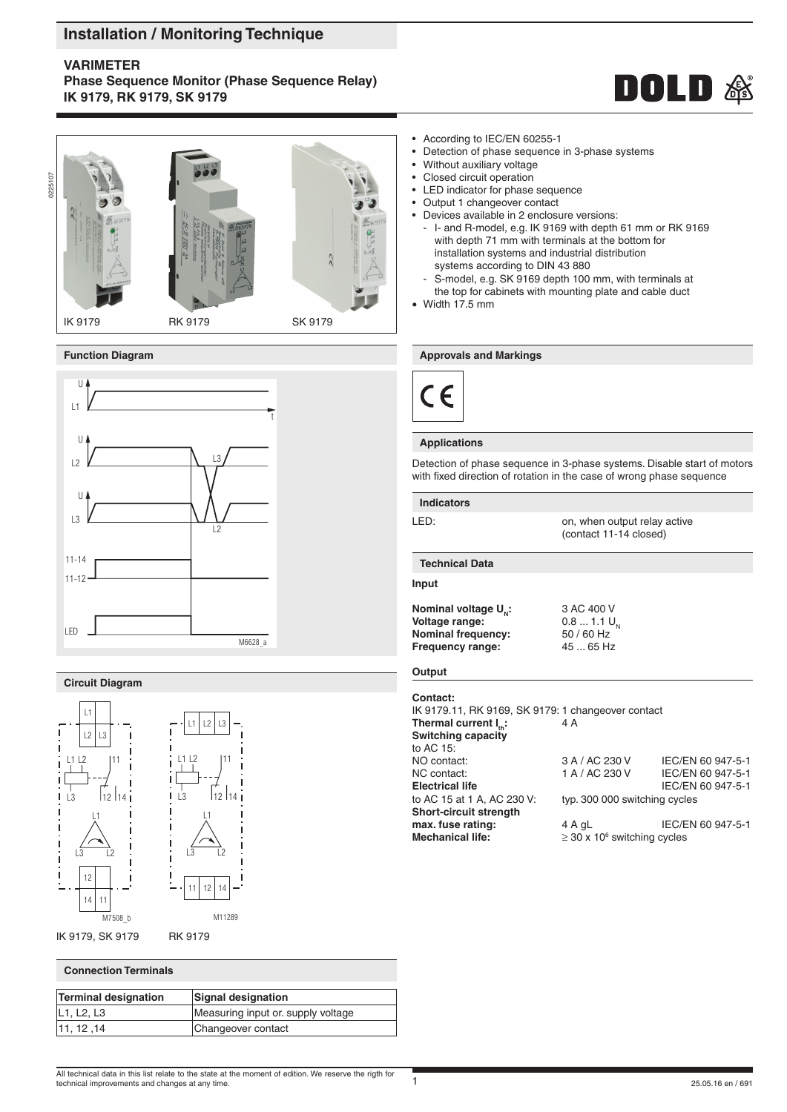# **Installation / Monitoring Technique**

# **VARIMETER**

**Phase Sequence Monitor (Phase Sequence Relay) IK 9179, RK 9179, SK 9179**





IK 9179 RK 9179 SK 9179



# **Circuit Diagram**



# **Connection Terminals**

| <b>Terminal designation</b> | <b>Signal designation</b>          |
|-----------------------------|------------------------------------|
| L1, L2, L3                  | Measuring input or. supply voltage |
| 11, 12, 14                  | Changeover contact                 |
|                             |                                    |

- According to IEC/EN 60255-1
- Detection of phase sequence in 3-phase systems
- Without auxiliary voltage
- Closed circuit operation
- LED indicator for phase sequence
- Output 1 changeover contact
- Devices available in 2 enclosure versions:
- I- and R-model, e.g. IK 9169 with depth 61 mm or RK 9169 with depth 71 mm with terminals at the bottom for installation systems and industrial distribution systems according to DIN 43 880 S-model, e.g. SK 9169 depth 100 mm, with terminals at
- the top for cabinets with mounting plate and cable duct
- Width 17.5 mm

#### **Function Diagram Approvals and Markings Approvals and Markings**



# **Applications**

Detection of phase sequence in 3-phase systems. Disable start of motors with fixed direction of rotation in the case of wrong phase sequence

### **Indicators**

LED: CHERRY CON, when output relay active (contact 11-14 closed)

#### **Technical Data**

**Input**

**Nominal voltage**  $U_N$ **:**  $3 AC 400 V$ <br>Voltage range:  $0.8 ... 1.1 U_N$ **Voltage range:** 0.8 ... 1.1 U<br>**Nominal frequency:** 50/60 Hz **Nominal frequency:** 50 / 60 Hz<br>**Frequency range:** 45 ... 65 Hz **Frequency range:** 

# **Output**

**Contact:**

IK 9179.11, RK 9169, SK 9179: 1 changeover contact **Thermal current I<sub>n</sub>: 4 A Switching capacity** to AC 15:<br>NO contact: NO contact: 3 A / AC 230 V IEC/EN 60 947-5-1<br>NC contact: 1 A / AC 230 V IEC/EN 60 947-5-1 NC contact: 1 A / AC 230 V IEC/EN 60 947-5-1<br>Electrical life IEC/EN 60 947-5-1 **Electrical life** IEC/EN 60 947-5-1 to AC 15 at 1 A, AC 230 V: typ. 300 000 switching cycles typ. 300 000 switching cycles **Short-circuit strength max. fuse rating:**  $4 A aL$  IEC/EN 60 947-5-1 **Mechanical life:**  $\geq$  30 x 10<sup>6</sup> switching cycles